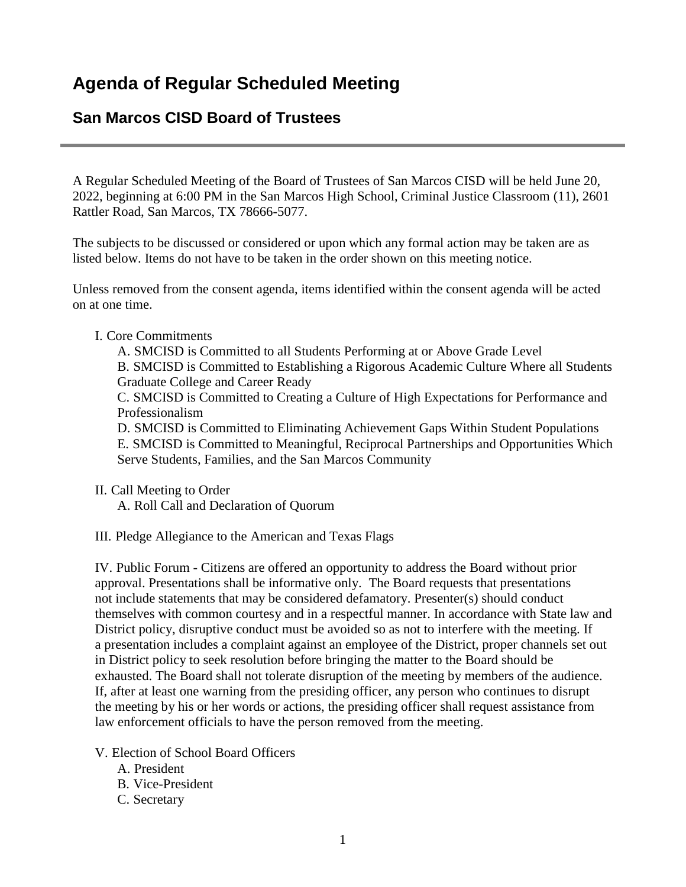# **San Marcos CISD Board of Trustees**

A Regular Scheduled Meeting of the Board of Trustees of San Marcos CISD will be held June 20, 2022, beginning at 6:00 PM in the San Marcos High School, Criminal Justice Classroom (11), 2601 Rattler Road, San Marcos, TX 78666-5077.

The subjects to be discussed or considered or upon which any formal action may be taken are as listed below. Items do not have to be taken in the order shown on this meeting notice.

Unless removed from the consent agenda, items identified within the consent agenda will be acted on at one time.

# I. Core Commitments

A. SMCISD is Committed to all Students Performing at or Above Grade Level B. SMCISD is Committed to Establishing a Rigorous Academic Culture Where all Students Graduate College and Career Ready

C. SMCISD is Committed to Creating a Culture of High Expectations for Performance and Professionalism

D. SMCISD is Committed to Eliminating Achievement Gaps Within Student Populations E. SMCISD is Committed to Meaningful, Reciprocal Partnerships and Opportunities Which Serve Students, Families, and the San Marcos Community

II. Call Meeting to Order

A. Roll Call and Declaration of Quorum

III. Pledge Allegiance to the American and Texas Flags

IV. Public Forum - Citizens are offered an opportunity to address the Board without prior approval. Presentations shall be informative only. The Board requests that presentations not include statements that may be considered defamatory. Presenter(s) should conduct themselves with common courtesy and in a respectful manner. In accordance with State law and District policy, disruptive conduct must be avoided so as not to interfere with the meeting. If a presentation includes a complaint against an employee of the District, proper channels set out in District policy to seek resolution before bringing the matter to the Board should be exhausted. The Board shall not tolerate disruption of the meeting by members of the audience. If, after at least one warning from the presiding officer, any person who continues to disrupt the meeting by his or her words or actions, the presiding officer shall request assistance from law enforcement officials to have the person removed from the meeting.

V. Election of School Board Officers

- A. President
- B. Vice-President
- C. Secretary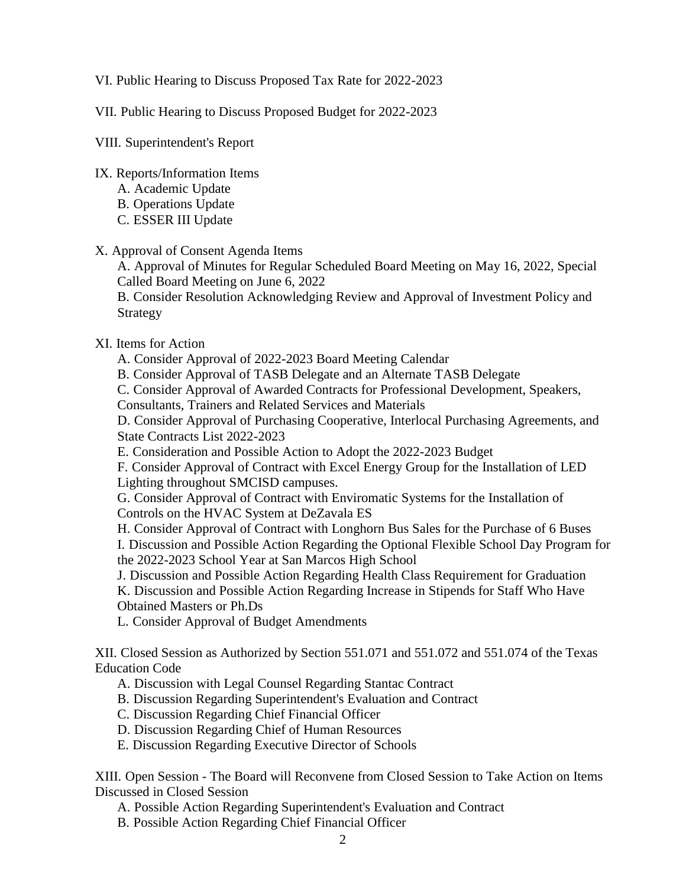### VI. Public Hearing to Discuss Proposed Tax Rate for 2022-2023

VII. Public Hearing to Discuss Proposed Budget for 2022-2023

VIII. Superintendent's Report

- IX. Reports/Information Items
	- A. Academic Update
	- B. Operations Update
	- C. ESSER III Update

# X. Approval of Consent Agenda Items

A. Approval of Minutes for Regular Scheduled Board Meeting on May 16, 2022, Special Called Board Meeting on June 6, 2022

B. Consider Resolution Acknowledging Review and Approval of Investment Policy and Strategy

# XI. Items for Action

A. Consider Approval of 2022-2023 Board Meeting Calendar

B. Consider Approval of TASB Delegate and an Alternate TASB Delegate

C. Consider Approval of Awarded Contracts for Professional Development, Speakers,

Consultants, Trainers and Related Services and Materials

D. Consider Approval of Purchasing Cooperative, Interlocal Purchasing Agreements, and State Contracts List 2022-2023

E. Consideration and Possible Action to Adopt the 2022-2023 Budget

F. Consider Approval of Contract with Excel Energy Group for the Installation of LED Lighting throughout SMCISD campuses.

G. Consider Approval of Contract with Enviromatic Systems for the Installation of Controls on the HVAC System at DeZavala ES

H. Consider Approval of Contract with Longhorn Bus Sales for the Purchase of 6 Buses I. Discussion and Possible Action Regarding the Optional Flexible School Day Program for the 2022-2023 School Year at San Marcos High School

J. Discussion and Possible Action Regarding Health Class Requirement for Graduation K. Discussion and Possible Action Regarding Increase in Stipends for Staff Who Have Obtained Masters or Ph.Ds

L. Consider Approval of Budget Amendments

XII. Closed Session as Authorized by Section 551.071 and 551.072 and 551.074 of the Texas Education Code

A. Discussion with Legal Counsel Regarding Stantac Contract

B. Discussion Regarding Superintendent's Evaluation and Contract

C. Discussion Regarding Chief Financial Officer

D. Discussion Regarding Chief of Human Resources

E. Discussion Regarding Executive Director of Schools

XIII. Open Session - The Board will Reconvene from Closed Session to Take Action on Items Discussed in Closed Session

A. Possible Action Regarding Superintendent's Evaluation and Contract

B. Possible Action Regarding Chief Financial Officer